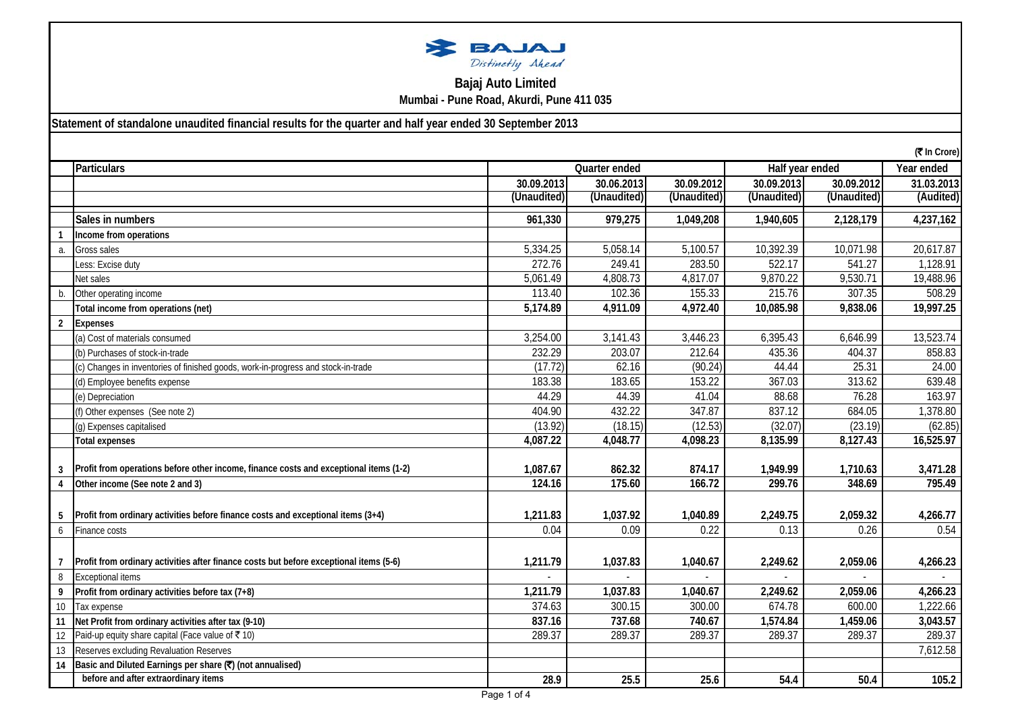

## **Bajaj Auto Limited Mumbai - Pune Road, Akurdi, Pune 411 035**

## **Statement of standalone unaudited financial results for the quarter and half year ended 30 September 2013**

|                   |                                                                                        |             |                                  |             |             |             | (₹ In Crore) |  |
|-------------------|----------------------------------------------------------------------------------------|-------------|----------------------------------|-------------|-------------|-------------|--------------|--|
|                   | <b>Particulars</b>                                                                     |             | Half year ended<br>Quarter ended |             |             |             |              |  |
|                   |                                                                                        | 30.09.2013  | 30.06.2013                       | 30.09.2012  | 30.09.2013  | 30.09.2012  | 31.03.2013   |  |
|                   |                                                                                        | (Unaudited) | (Unaudited)                      | (Unaudited) | (Unaudited) | (Unaudited) | (Audited)    |  |
|                   | Sales in numbers                                                                       | 961,330     | 979,275                          | 1,049,208   | 1,940,605   | 2,128,179   | 4,237,162    |  |
|                   | Income from operations                                                                 |             |                                  |             |             |             |              |  |
| a.                | Gross sales                                                                            | 5,334.25    | 5,058.14                         | 5,100.57    | 10,392.39   | 10,071.98   | 20,617.87    |  |
|                   | Less: Excise duty                                                                      | 272.76      | 249.41                           | 283.50      | 522.17      | 541.27      | 1,128.91     |  |
|                   | Net sales                                                                              | 5,061.49    | 4,808.73                         | 4,817.07    | 9,870.22    | 9,530.71    | 19,488.96    |  |
|                   | Other operating income                                                                 | 113.40      | 102.36                           | 155.33      | 215.76      | 307.35      | 508.29       |  |
|                   | Total income from operations (net)                                                     | 5,174.89    | 4,911.09                         | 4,972.40    | 10,085.98   | 9,838.06    | 19,997.25    |  |
| 2                 | <b>Expenses</b>                                                                        |             |                                  |             |             |             |              |  |
|                   | (a) Cost of materials consumed                                                         | 3,254.00    | 3,141.43                         | 3,446.23    | 6,395.43    | 6,646.99    | 13,523.74    |  |
|                   | (b) Purchases of stock-in-trade                                                        | 232.29      | 203.07                           | 212.64      | 435.36      | 404.37      | 858.83       |  |
|                   | (c) Changes in inventories of finished goods, work-in-progress and stock-in-trade      | (17.72)     | 62.16                            | (90.24)     | 44.44       | 25.31       | 24.00        |  |
|                   | (d) Employee benefits expense                                                          | 183.38      | 183.65                           | 153.22      | 367.03      | 313.62      | 639.48       |  |
|                   | (e) Depreciation                                                                       | 44.29       | 44.39                            | 41.04       | 88.68       | 76.28       | 163.97       |  |
|                   | (f) Other expenses (See note 2)                                                        | 404.90      | 432.22                           | 347.87      | 837.12      | 684.05      | 1,378.80     |  |
|                   | (g) Expenses capitalised                                                               | (13.92)     | (18.15)                          | (12.53)     | (32.07)     | (23.19)     | (62.85)      |  |
|                   | <b>Total expenses</b>                                                                  | 4,087.22    | 4,048.77                         | 4,098.23    | 8,135.99    | 8,127.43    | 16,525.97    |  |
|                   |                                                                                        |             |                                  |             |             |             |              |  |
|                   | Profit from operations before other income, finance costs and exceptional items (1-2)  | 1,087.67    | 862.32                           | 874.17      | 1,949.99    | 1,710.63    | 3,471.28     |  |
|                   | Other income (See note 2 and 3)                                                        | 124.16      | 175.60                           | 166.72      | 299.76      | 348.69      | 795.49       |  |
|                   |                                                                                        |             |                                  |             |             |             |              |  |
|                   | Profit from ordinary activities before finance costs and exceptional items (3+4)       | 1,211.83    | 1,037.92                         | 1,040.89    | 2,249.75    | 2,059.32    | 4,266.77     |  |
| 6                 | Finance costs                                                                          | 0.04        | 0.09                             | 0.22        | 0.13        | 0.26        | 0.54         |  |
|                   |                                                                                        |             |                                  |             |             |             |              |  |
|                   | Profit from ordinary activities after finance costs but before exceptional items (5-6) | 1,211.79    | 1,037.83                         | 1,040.67    | 2,249.62    | 2,059.06    | 4,266.23     |  |
| 8                 | <b>Exceptional items</b>                                                               |             |                                  |             |             |             |              |  |
|                   | Profit from ordinary activities before tax (7+8)                                       | 1,211.79    | 1,037.83                         | 1,040.67    | 2,249.62    | 2,059.06    | 4,266.23     |  |
| 10 <sup>°</sup>   | Tax expense                                                                            | 374.63      | 300.15                           | 300.00      | 674.78      | 600.00      | 1,222.66     |  |
| 11                | Net Profit from ordinary activities after tax (9-10)                                   | 837.16      | 737.68                           | 740.67      | 1,574.84    | 1,459.06    | 3,043.57     |  |
| $12 \overline{ }$ | Paid-up equity share capital (Face value of ₹10)                                       | 289.37      | 289.37                           | 289.37      | 289.37      | 289.37      | 289.37       |  |
| 13                | Reserves excluding Revaluation Reserves                                                |             |                                  |             |             |             | 7,612.58     |  |
| 14                | Basic and Diluted Earnings per share (₹) (not annualised)                              |             |                                  |             |             |             |              |  |
|                   | before and after extraordinary items                                                   | 28.9        | 25.5                             | 25.6        | 54.4        | 50.4        | 105.2        |  |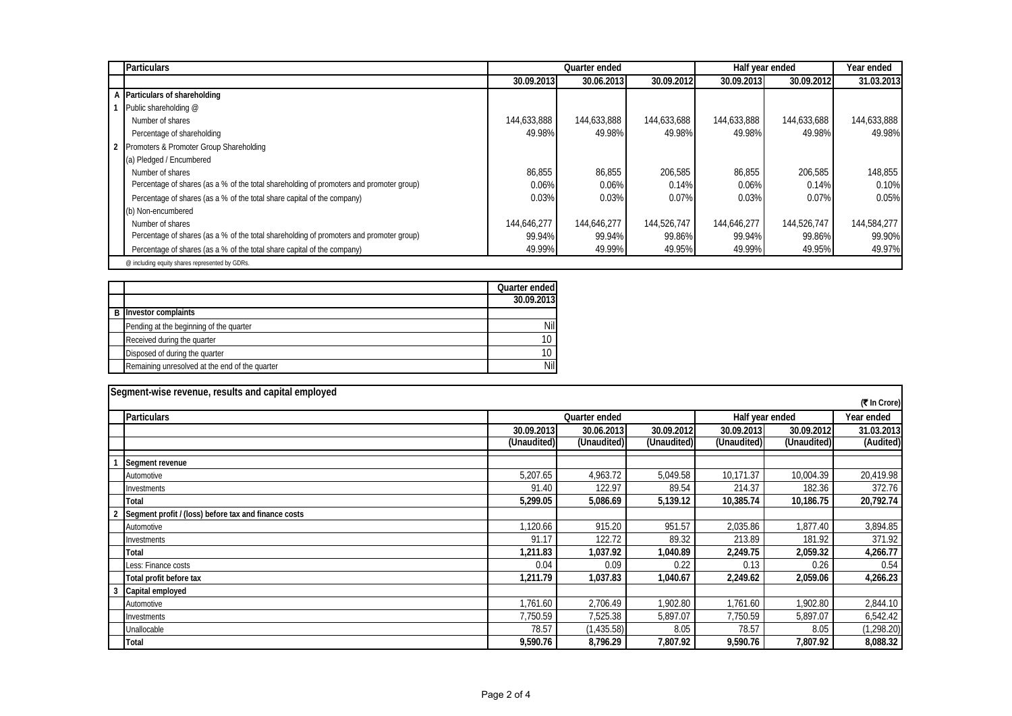| <b>Particulars</b>                                                                      |             | Quarter ended |             |             | Half year ended |             |  |
|-----------------------------------------------------------------------------------------|-------------|---------------|-------------|-------------|-----------------|-------------|--|
|                                                                                         | 30.09.2013  | 30.06.2013    | 30.09.2012  | 30.09.2013  | 30.09.2012      | 31.03.2013  |  |
| A Particulars of shareholding                                                           |             |               |             |             |                 |             |  |
| Public shareholding @                                                                   |             |               |             |             |                 |             |  |
| Number of shares                                                                        | 144,633,888 | 144,633,888   | 144,633,688 | 144,633,888 | 144,633,688     | 144,633,888 |  |
| Percentage of shareholding                                                              | 49.98%      | 49.98%        | 49.98%      | 49.98%      | 49.98%          | 49.98%      |  |
| Promoters & Promoter Group Shareholding                                                 |             |               |             |             |                 |             |  |
| (a) Pledged / Encumbered                                                                |             |               |             |             |                 |             |  |
| Number of shares                                                                        | 86,855      | 86,855        | 206,585     | 86,855      | 206,585         | 148,855     |  |
| Percentage of shares (as a % of the total shareholding of promoters and promoter group) | 0.06%       | 0.06%         | 0.14%       | 0.06%       | 0.14%           | 0.10%       |  |
| Percentage of shares (as a % of the total share capital of the company)                 | 0.03%       | 0.03%         | 0.07%       | 0.03%       | 0.07%           | 0.05%       |  |
| (b) Non-encumbered                                                                      |             |               |             |             |                 |             |  |
| Number of shares                                                                        | 144,646,277 | 144,646,277   | 144,526,747 | 144,646,277 | 144,526,747     | 144,584,277 |  |
| Percentage of shares (as a % of the total shareholding of promoters and promoter group) | 99.94%      | 99.94%        | 99.86%      | 99.94%      | 99.86%          | 99.90%      |  |
| Percentage of shares (as a % of the total share capital of the company)                 | 49.99%      | 49.99%        | 49.95%      | 49.99%      | 49.95%          | 49.97%      |  |
| @ including equity shares represented by GDRs.                                          |             |               |             |             |                 |             |  |

|                                                | Quarter ended |
|------------------------------------------------|---------------|
|                                                | 30.09.2013    |
| <b>B</b> Investor complaints                   |               |
| Pending at the beginning of the quarter        | Nil           |
| Received during the quarter                    | 10            |
| Disposed of during the quarter                 | 10            |
| Remaining unresolved at the end of the quarter | Nil           |

| Segment-wise revenue, results and capital employed   |             |                                  |             |             |             |              |  |
|------------------------------------------------------|-------------|----------------------------------|-------------|-------------|-------------|--------------|--|
|                                                      |             |                                  |             |             |             | (₹ In Crore) |  |
| <b>Particulars</b>                                   |             | Quarter ended<br>Half year ended |             |             |             |              |  |
|                                                      | 30.09.2013  | 30.06.2013                       | 30.09.2012  | 30.09.2013  | 30.09.2012  | 31.03.2013   |  |
|                                                      | (Unaudited) | (Unaudited)                      | (Unaudited) | (Unaudited) | (Unaudited) | (Audited)    |  |
| Segment revenue                                      |             |                                  |             |             |             |              |  |
| Automotive                                           | 5,207.65    | 4,963.72                         | 5,049.58    | 10,171.37   | 10,004.39   | 20,419.98    |  |
| Investments                                          | 91.40       | 122.97                           | 89.54       | 214.37      | 182.36      | 372.76       |  |
| Total                                                | 5,299.05    | 5,086.69                         | 5,139.12    | 10,385.74   | 10,186.75   | 20,792.74    |  |
| Segment profit / (loss) before tax and finance costs |             |                                  |             |             |             |              |  |
| Automotive                                           | 1,120.66    | 915.20                           | 951.57      | 2,035.86    | 1.877.40    | 3,894.85     |  |
| Investments                                          | 91.17       | 122.72                           | 89.32       | 213.89      | 181.92      | 371.92       |  |
| Total                                                | 1,211.83    | 1,037.92                         | 1,040.89    | 2,249.75    | 2,059.32    | 4,266.77     |  |
| Less: Finance costs                                  | 0.04        | 0.09                             | 0.22        | 0.13        | 0.26        | 0.54         |  |
| Total profit before tax                              | 1,211.79    | 1,037.83                         | 1,040.67    | 2,249.62    | 2,059.06    | 4,266.23     |  |
| Capital employed                                     |             |                                  |             |             |             |              |  |
| Automotive                                           | 1,761.60    | 2,706.49                         | 1,902.80    | 1,761.60    | 1,902.80    | 2,844.10     |  |
| Investments                                          | 7,750.59    | 7,525.38                         | 5,897.07    | 7,750.59    | 5,897.07    | 6,542.42     |  |
| Unallocable                                          | 78.57       | (1,435.58)                       | 8.05        | 78.57       | 8.05        | (1, 298.20)  |  |
| Total                                                | 9,590.76    | 8,796.29                         | 7,807.92    | 9,590.76    | 7,807.92    | 8,088.32     |  |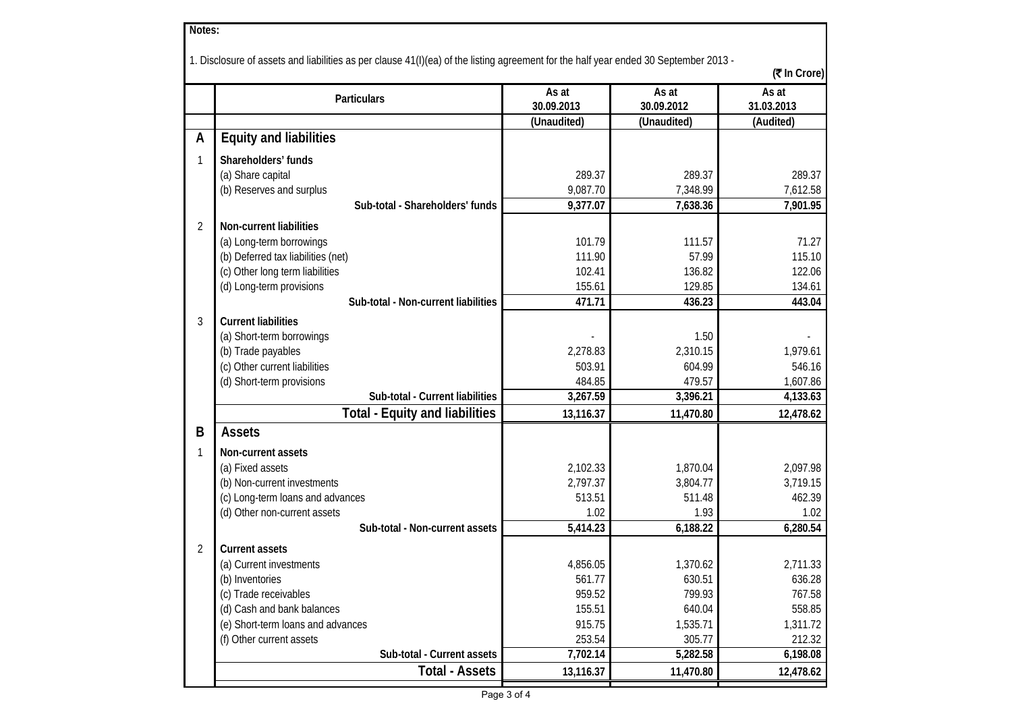| Notes:         |                                                                                                                                                      |                     |                     |                     |  |  |  |  |
|----------------|------------------------------------------------------------------------------------------------------------------------------------------------------|---------------------|---------------------|---------------------|--|--|--|--|
|                | 1. Disclosure of assets and liabilities as per clause 41(I)(ea) of the listing agreement for the half year ended 30 September 2013 -<br>(そ In Crore) |                     |                     |                     |  |  |  |  |
|                | Particulars                                                                                                                                          | As at<br>30.09.2013 | As at<br>30.09.2012 | As at<br>31.03.2013 |  |  |  |  |
|                |                                                                                                                                                      | (Unaudited)         | (Unaudited)         | (Audited)           |  |  |  |  |
| A              | <b>Equity and liabilities</b>                                                                                                                        |                     |                     |                     |  |  |  |  |
| 1              | Shareholders' funds                                                                                                                                  |                     |                     |                     |  |  |  |  |
|                | (a) Share capital                                                                                                                                    | 289.37              | 289.37              | 289.37              |  |  |  |  |
|                | (b) Reserves and surplus                                                                                                                             | 9,087.70            | 7,348.99            | 7,612.58            |  |  |  |  |
|                | Sub-total - Shareholders' funds                                                                                                                      | 9,377.07            | 7,638.36            | 7,901.95            |  |  |  |  |
| $\overline{2}$ | Non-current liabilities                                                                                                                              |                     |                     |                     |  |  |  |  |
|                | (a) Long-term borrowings                                                                                                                             | 101.79              | 111.57              | 71.27               |  |  |  |  |
|                | (b) Deferred tax liabilities (net)                                                                                                                   | 111.90              | 57.99               | 115.10              |  |  |  |  |
|                | (c) Other long term liabilities                                                                                                                      | 102.41              | 136.82              | 122.06              |  |  |  |  |
|                | (d) Long-term provisions                                                                                                                             | 155.61              | 129.85              | 134.61              |  |  |  |  |
|                | Sub-total - Non-current liabilities                                                                                                                  | 471.71              | 436.23              | 443.04              |  |  |  |  |
|                |                                                                                                                                                      |                     |                     |                     |  |  |  |  |
| 3              | <b>Current liabilities</b>                                                                                                                           |                     | 1.50                |                     |  |  |  |  |
|                | (a) Short-term borrowings<br>(b) Trade payables                                                                                                      | 2,278.83            | 2,310.15            | 1,979.61            |  |  |  |  |
|                | (c) Other current liabilities                                                                                                                        | 503.91              | 604.99              | 546.16              |  |  |  |  |
|                | (d) Short-term provisions                                                                                                                            | 484.85              | 479.57              | 1,607.86            |  |  |  |  |
|                | Sub-total - Current liabilities                                                                                                                      | 3,267.59            | 3,396.21            | 4,133.63            |  |  |  |  |
|                | <b>Total - Equity and liabilities</b>                                                                                                                | 13,116.37           | 11,470.80           | 12,478.62           |  |  |  |  |
|                | <b>Assets</b>                                                                                                                                        |                     |                     |                     |  |  |  |  |
| B              |                                                                                                                                                      |                     |                     |                     |  |  |  |  |
| $\mathbf{1}$   | Non-current assets                                                                                                                                   |                     |                     |                     |  |  |  |  |
|                | (a) Fixed assets                                                                                                                                     | 2,102.33            | 1,870.04            | 2,097.98            |  |  |  |  |
|                | (b) Non-current investments                                                                                                                          | 2,797.37            | 3,804.77            | 3,719.15            |  |  |  |  |
|                | (c) Long-term loans and advances                                                                                                                     | 513.51              | 511.48              | 462.39              |  |  |  |  |
|                | (d) Other non-current assets                                                                                                                         | 1.02                | 1.93                | 1.02                |  |  |  |  |
|                | Sub-total - Non-current assets                                                                                                                       | 5,414.23            | 6,188.22            | 6,280.54            |  |  |  |  |
| 2              | <b>Current assets</b>                                                                                                                                |                     |                     |                     |  |  |  |  |
|                | (a) Current investments                                                                                                                              | 4,856.05            | 1,370.62            | 2,711.33            |  |  |  |  |
|                | (b) Inventories                                                                                                                                      | 561.77              | 630.51              | 636.28              |  |  |  |  |
|                | (c) Trade receivables                                                                                                                                | 959.52              | 799.93              | 767.58              |  |  |  |  |
|                | (d) Cash and bank balances                                                                                                                           | 155.51              | 640.04              | 558.85              |  |  |  |  |
|                | (e) Short-term loans and advances                                                                                                                    | 915.75              | 1,535.71            | 1,311.72            |  |  |  |  |
|                | (f) Other current assets                                                                                                                             | 253.54              | 305.77              | 212.32              |  |  |  |  |
|                | Sub-total - Current assets                                                                                                                           | 7,702.14            | 5,282.58            | 6,198.08            |  |  |  |  |
|                | <b>Total - Assets</b>                                                                                                                                | 13,116.37           | 11,470.80           | 12,478.62           |  |  |  |  |